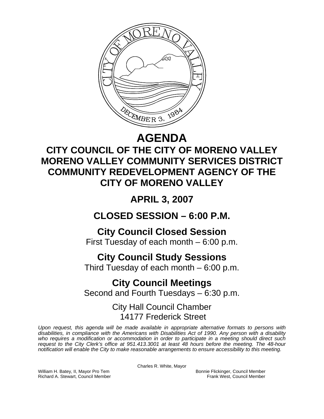

# **AGENDA**

# **CITY COUNCIL OF THE CITY OF MORENO VALLEY MORENO VALLEY COMMUNITY SERVICES DISTRICT COMMUNITY REDEVELOPMENT AGENCY OF THE CITY OF MORENO VALLEY**

# **APRIL 3, 2007**

## **CLOSED SESSION – 6:00 P.M.**

## **City Council Closed Session**

First Tuesday of each month – 6:00 p.m.

## **City Council Study Sessions**

Third Tuesday of each month – 6:00 p.m.

# **City Council Meetings**

Second and Fourth Tuesdays – 6:30 p.m.

## City Hall Council Chamber 14177 Frederick Street

*Upon request, this agenda will be made available in appropriate alternative formats to persons with disabilities, in compliance with the Americans with Disabilities Act of 1990. Any person with a disability who requires a modification or accommodation in order to participate in a meeting should direct such request to the City Clerk's office at 951.413.3001 at least 48 hours before the meeting. The 48-hour notification will enable the City to make reasonable arrangements to ensure accessibility to this meeting.* 

Charles R. White, Mayor

William H. Batey, II, Mayor Pro Tem **Bonnie Flickinger, Council Member**<br>Richard A. Stewart, Council Member **Bonnie Frank West, Council Member** Richard A. Stewart, Council Member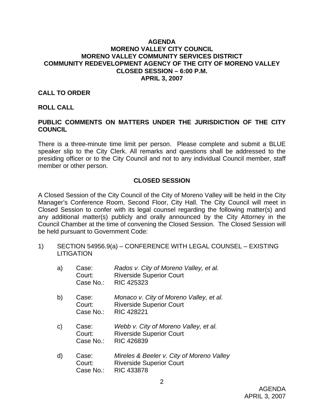### **AGENDA MORENO VALLEY CITY COUNCIL MORENO VALLEY COMMUNITY SERVICES DISTRICT COMMUNITY REDEVELOPMENT AGENCY OF THE CITY OF MORENO VALLEY CLOSED SESSION – 6:00 P.M. APRIL 3, 2007**

### **CALL TO ORDER**

#### **ROLL CALL**

## **PUBLIC COMMENTS ON MATTERS UNDER THE JURISDICTION OF THE CITY COUNCIL**

There is a three-minute time limit per person. Please complete and submit a BLUE speaker slip to the City Clerk. All remarks and questions shall be addressed to the presiding officer or to the City Council and not to any individual Council member, staff member or other person.

### **CLOSED SESSION**

A Closed Session of the City Council of the City of Moreno Valley will be held in the City Manager's Conference Room, Second Floor, City Hall. The City Council will meet in Closed Session to confer with its legal counsel regarding the following matter(s) and any additional matter(s) publicly and orally announced by the City Attorney in the Council Chamber at the time of convening the Closed Session. The Closed Session will be held pursuant to Government Code:

1) SECTION 54956.9(a) – CONFERENCE WITH LEGAL COUNSEL – EXISTING **LITIGATION** 

| a)           | Case:<br>Court:<br>Case No.: | Rados v. City of Moreno Valley, et al.<br><b>Riverside Superior Court</b><br><b>RIC 425323</b>    |
|--------------|------------------------------|---------------------------------------------------------------------------------------------------|
| b)           | Case:<br>Court:<br>Case No.: | Monaco v. City of Moreno Valley, et al.<br><b>Riverside Superior Court</b><br><b>RIC 428221</b>   |
| $\mathsf{C}$ | Case:<br>Court:<br>Case No.: | Webb v. City of Moreno Valley, et al.<br><b>Riverside Superior Court</b><br>RIC 426839            |
| d)           | Case:<br>Court:<br>Case No.: | Mireles & Beeler v. City of Moreno Valley<br><b>Riverside Superior Court</b><br><b>RIC 433878</b> |